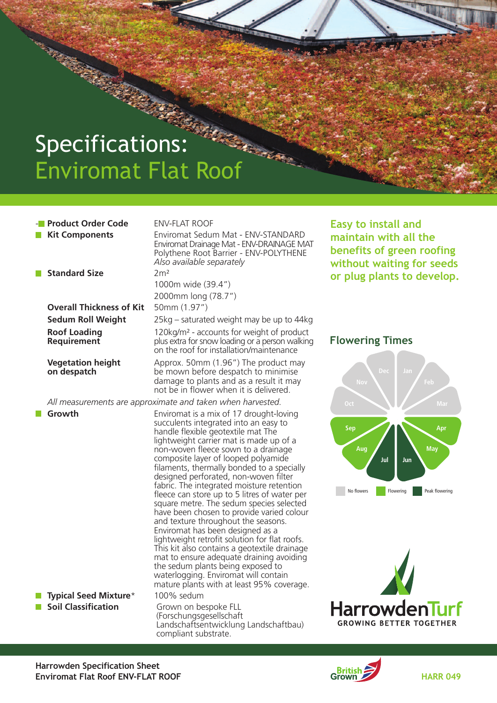# Specifications: Specifications:

### **- Product Order Code ENV-FLAT ROOF**

 **Kit Components Enviromat Sedum Mat - ENV-STANDARD Enviromat Drainage Mat - ENV-DRAINAGE MAT Polythene Root Barrier - ENV-POLYTHENE** *Also available separately*  **Standard Size 2m² 1000m wide (39.4") 2000mm long (78.7") Overall Thickness of Kit 50mm (1.97") Sedum Roll Weight 25kg – saturated weight may be up to 44kg**

**Roof Loading**<br> **Requirement 120kg/m<sup>2</sup> - accounts for weight of product<br>
<b>Requirement Duse extra for snow loading or a person walking Requirement plus extra forsnow loading or a person walking on the roof for installation/maintenance**

 **Vegetation height**  $\begin{array}{c}\n\text{Approx. 50mm (1.96'') The product may on **despatch**\n\end{array}$  be mown before despatch to minimise  **on despatch be mown before despatch to minimise damage to plants and as a result it may not be in flower when it is delivered.**

 *All measurements are approximate and taken when harvested.*

**Growth** Enviromat is a mix of 17 drought-loving **succulents integrated into an easy to handle flexible geotextile mat The lightweight carrier mat is made up of a non-woven fleece sown to a drainage composite layer of looped polyamide filaments, thermally bonded to a specially designed perforated, non-woven filter fabric. The integrated moisture retention fleece can store up to 5 litres of water per square metre. The sedum species selected have been chosen to provide varied colour and texture throughout the seasons. Enviromat has been designed as a lightweight retrofit solution for flat roofs. This kit also contains a geotextile drainage mat to ensure adequate draining avoiding the sedum plants being exposed to waterlogging. Enviromat will contain mature plants with at least 95% coverage. Typical Seed Mixture\* 100% sedum Soil Classification Grown on bespoke FLL (Forschungsgesellschaft Landschaftsentwicklung Landschaftbau)**

**compliant substrate.**

**Easy to install and maintain with all the benefits of green roofing without waiting for seeds or plug plants to develop.**

### **Flowering Times**